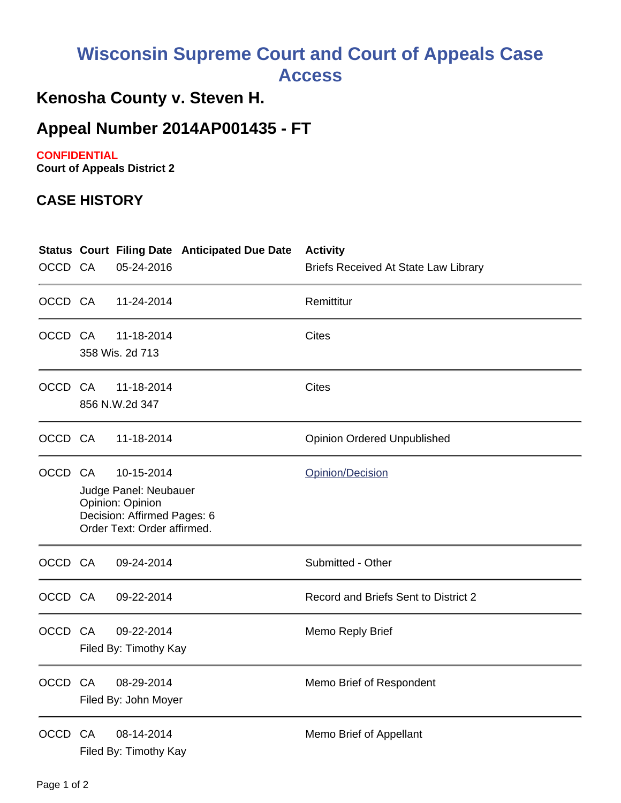# **Wisconsin Supreme Court and Court of Appeals Case Access**

## **Kenosha County v. Steven H.**

### **Appeal Number 2014AP001435 - FT**

#### **CONFIDENTIAL**

**Court of Appeals District 2**

#### **CASE HISTORY**

| OCCD CA     |                                                                                                                       | <b>Status Court Filing Date Anticipated Due Date</b><br>05-24-2016 | <b>Activity</b><br><b>Briefs Received At State Law Library</b> |
|-------------|-----------------------------------------------------------------------------------------------------------------------|--------------------------------------------------------------------|----------------------------------------------------------------|
| OCCD CA     |                                                                                                                       | 11-24-2014                                                         | Remittitur                                                     |
| OCCD CA     |                                                                                                                       | 11-18-2014<br>358 Wis. 2d 713                                      | <b>Cites</b>                                                   |
| OCCD CA     |                                                                                                                       | 11-18-2014<br>856 N.W.2d 347                                       | <b>Cites</b>                                                   |
| OCCD CA     |                                                                                                                       | 11-18-2014                                                         | <b>Opinion Ordered Unpublished</b>                             |
| OCCD CA     | 10-15-2014<br>Judge Panel: Neubauer<br>Opinion: Opinion<br>Decision: Affirmed Pages: 6<br>Order Text: Order affirmed. |                                                                    | Opinion/Decision                                               |
| OCCD CA     |                                                                                                                       | 09-24-2014                                                         | Submitted - Other                                              |
| OCCD CA     |                                                                                                                       | 09-22-2014                                                         | Record and Briefs Sent to District 2                           |
| OCCD CA     |                                                                                                                       | 09-22-2014<br>Filed By: Timothy Kay                                | Memo Reply Brief                                               |
| OCCD CA     |                                                                                                                       | 08-29-2014<br>Filed By: John Moyer                                 | Memo Brief of Respondent                                       |
| <b>OCCD</b> | CA                                                                                                                    | 08-14-2014<br>Filed By: Timothy Kay                                | Memo Brief of Appellant                                        |